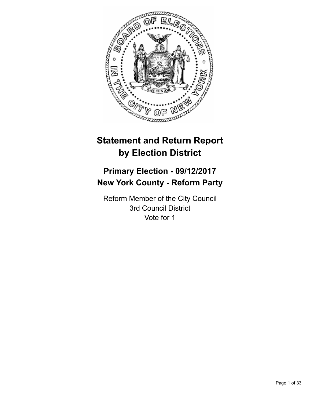

# **Statement and Return Report by Election District**

# **Primary Election - 09/12/2017 New York County - Reform Party**

Reform Member of the City Council 3rd Council District Vote for 1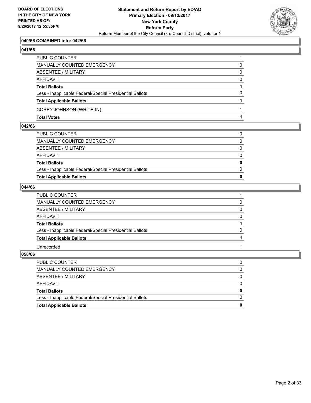

## **040/66 COMBINED into: 042/66**

#### **041/66**

| PUBLIC COUNTER                                           |          |
|----------------------------------------------------------|----------|
| MANUALLY COUNTED EMERGENCY                               | 0        |
| ABSENTEE / MILITARY                                      | 0        |
| AFFIDAVIT                                                | $\Omega$ |
| <b>Total Ballots</b>                                     |          |
| Less - Inapplicable Federal/Special Presidential Ballots | $\Omega$ |
| <b>Total Applicable Ballots</b>                          |          |
| COREY JOHNSON (WRITE-IN)                                 |          |
| <b>Total Votes</b>                                       |          |

#### **042/66**

| <b>Total Applicable Ballots</b>                          | 0            |
|----------------------------------------------------------|--------------|
| Less - Inapplicable Federal/Special Presidential Ballots | $\Omega$     |
| <b>Total Ballots</b>                                     | 0            |
| AFFIDAVIT                                                | 0            |
| ABSENTEE / MILITARY                                      | $\Omega$     |
| MANUALLY COUNTED EMERGENCY                               | $\mathbf{0}$ |
| PUBLIC COUNTER                                           | 0            |
|                                                          |              |

## **044/66**

| <b>PUBLIC COUNTER</b>                                    |          |
|----------------------------------------------------------|----------|
| MANUALLY COUNTED EMERGENCY                               |          |
| ABSENTEE / MILITARY                                      | 0        |
| AFFIDAVIT                                                | $\Omega$ |
| <b>Total Ballots</b>                                     |          |
| Less - Inapplicable Federal/Special Presidential Ballots |          |
| <b>Total Applicable Ballots</b>                          |          |
| Unrecorded                                               |          |

| <b>Total Applicable Ballots</b>                          | 0        |
|----------------------------------------------------------|----------|
| Less - Inapplicable Federal/Special Presidential Ballots | $\Omega$ |
| <b>Total Ballots</b>                                     | $\bf{0}$ |
| AFFIDAVIT                                                | 0        |
| ABSENTEE / MILITARY                                      | 0        |
| MANUALLY COUNTED EMERGENCY                               | 0        |
| <b>PUBLIC COUNTER</b>                                    |          |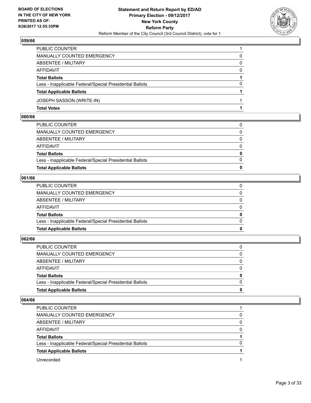

| PUBLIC COUNTER                                           |              |
|----------------------------------------------------------|--------------|
| MANUALLY COUNTED EMERGENCY                               | 0            |
| ABSENTEE / MILITARY                                      | $\mathbf{0}$ |
| AFFIDAVIT                                                | $\Omega$     |
| <b>Total Ballots</b>                                     |              |
| Less - Inapplicable Federal/Special Presidential Ballots | $\Omega$     |
| <b>Total Applicable Ballots</b>                          |              |
| JOSEPH SASSON (WRITE-IN)                                 |              |
| <b>Total Votes</b>                                       |              |

#### **060/66**

| <b>Total Applicable Ballots</b>                          | $\bf{0}$     |
|----------------------------------------------------------|--------------|
| Less - Inapplicable Federal/Special Presidential Ballots | $\Omega$     |
| <b>Total Ballots</b>                                     | $\bf{0}$     |
| AFFIDAVIT                                                | 0            |
| ABSENTEE / MILITARY                                      | $\Omega$     |
| MANUALLY COUNTED EMERGENCY                               | $\mathbf{0}$ |
| PUBLIC COUNTER                                           | 0            |
|                                                          |              |

#### **061/66**

| <b>Total Applicable Ballots</b>                          | 0            |
|----------------------------------------------------------|--------------|
| Less - Inapplicable Federal/Special Presidential Ballots | $\Omega$     |
| <b>Total Ballots</b>                                     | $\bf{0}$     |
| AFFIDAVIT                                                | $\Omega$     |
| ABSENTEE / MILITARY                                      | $\Omega$     |
| MANUALLY COUNTED EMERGENCY                               | $\mathbf{0}$ |
| PUBLIC COUNTER                                           |              |
|                                                          |              |

## **062/66**

| PUBLIC COUNTER                                           | 0            |
|----------------------------------------------------------|--------------|
| MANUALLY COUNTED EMERGENCY                               | 0            |
| ABSENTEE / MILITARY                                      | $\Omega$     |
| AFFIDAVIT                                                | $\Omega$     |
| <b>Total Ballots</b>                                     | $\mathbf{0}$ |
| Less - Inapplicable Federal/Special Presidential Ballots | $\Omega$     |
| <b>Total Applicable Ballots</b>                          | 0            |
|                                                          |              |

| PUBLIC COUNTER                                           |   |
|----------------------------------------------------------|---|
| MANUALLY COUNTED EMERGENCY                               | 0 |
| ABSENTEE / MILITARY                                      | 0 |
| AFFIDAVIT                                                | 0 |
| <b>Total Ballots</b>                                     |   |
| Less - Inapplicable Federal/Special Presidential Ballots |   |
| <b>Total Applicable Ballots</b>                          |   |
| Unrecorded                                               |   |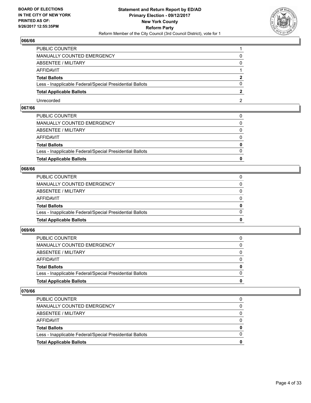

| PUBLIC COUNTER                                           |   |
|----------------------------------------------------------|---|
| <b>MANUALLY COUNTED EMERGENCY</b>                        |   |
| <b>ABSENTEE / MILITARY</b>                               |   |
| AFFIDAVIT                                                |   |
| <b>Total Ballots</b>                                     | ּ |
| Less - Inapplicable Federal/Special Presidential Ballots |   |
| <b>Total Applicable Ballots</b>                          |   |
| Unrecorded                                               |   |

## **067/66**

| <b>Total Applicable Ballots</b>                          | $\bf{0}$     |
|----------------------------------------------------------|--------------|
| Less - Inapplicable Federal/Special Presidential Ballots | $\Omega$     |
| <b>Total Ballots</b>                                     | $\mathbf{0}$ |
| AFFIDAVIT                                                | $\Omega$     |
| ABSENTEE / MILITARY                                      | $\mathbf{0}$ |
| MANUALLY COUNTED EMERGENCY                               | 0            |
| PUBLIC COUNTER                                           |              |

## **068/66**

| <b>Total Applicable Ballots</b>                          | 0            |
|----------------------------------------------------------|--------------|
| Less - Inapplicable Federal/Special Presidential Ballots | $\Omega$     |
| <b>Total Ballots</b>                                     | $\mathbf{0}$ |
| AFFIDAVIT                                                | $\Omega$     |
| ABSENTEE / MILITARY                                      | $\mathbf{0}$ |
| MANUALLY COUNTED EMERGENCY                               | 0            |
| PUBLIC COUNTER                                           |              |

#### **069/66**

| <b>Total Applicable Ballots</b>                          | 0        |
|----------------------------------------------------------|----------|
| Less - Inapplicable Federal/Special Presidential Ballots | 0        |
| <b>Total Ballots</b>                                     | 0        |
| AFFIDAVIT                                                | 0        |
| ABSENTEE / MILITARY                                      | $\Omega$ |
| MANUALLY COUNTED EMERGENCY                               | 0        |
| <b>PUBLIC COUNTER</b>                                    |          |

| <b>PUBLIC COUNTER</b>                                    |   |
|----------------------------------------------------------|---|
| MANUALLY COUNTED EMERGENCY                               |   |
| ABSENTEE / MILITARY                                      |   |
| AFFIDAVIT                                                |   |
| <b>Total Ballots</b>                                     | 0 |
| Less - Inapplicable Federal/Special Presidential Ballots |   |
| <b>Total Applicable Ballots</b>                          | o |
|                                                          |   |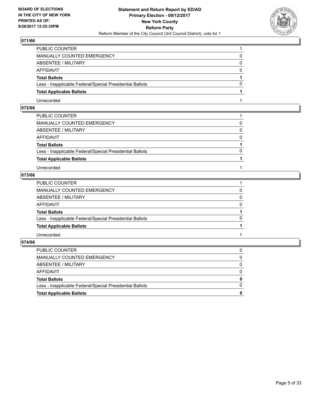

| PUBLIC COUNTER                                           |          |
|----------------------------------------------------------|----------|
| MANUALLY COUNTED EMERGENCY                               |          |
| ABSENTEE / MILITARY                                      | 0        |
| AFFIDAVIT                                                | $\Omega$ |
| <b>Total Ballots</b>                                     |          |
| Less - Inapplicable Federal/Special Presidential Ballots | 0        |
| <b>Total Applicable Ballots</b>                          |          |
| Unrecorded                                               |          |

## **072/66**

| PUBLIC COUNTER                                           |          |
|----------------------------------------------------------|----------|
| MANUALLY COUNTED EMERGENCY                               | 0        |
| ABSENTEE / MILITARY                                      | $\Omega$ |
| AFFIDAVIT                                                | $\Omega$ |
| <b>Total Ballots</b>                                     |          |
| Less - Inapplicable Federal/Special Presidential Ballots | $\Omega$ |
| <b>Total Applicable Ballots</b>                          |          |
| Unrecorded                                               |          |

# **073/66**

| MANUALLY COUNTED EMERGENCY<br>$\Omega$<br>ABSENTEE / MILITARY<br>0<br>AFFIDAVIT<br>$\Omega$<br><b>Total Ballots</b><br>$\Omega$<br>Less - Inapplicable Federal/Special Presidential Ballots<br><b>Total Applicable Ballots</b><br>Unrecorded | PUBLIC COUNTER |  |
|----------------------------------------------------------------------------------------------------------------------------------------------------------------------------------------------------------------------------------------------|----------------|--|
|                                                                                                                                                                                                                                              |                |  |
|                                                                                                                                                                                                                                              |                |  |
|                                                                                                                                                                                                                                              |                |  |
|                                                                                                                                                                                                                                              |                |  |
|                                                                                                                                                                                                                                              |                |  |
|                                                                                                                                                                                                                                              |                |  |
|                                                                                                                                                                                                                                              |                |  |

| <b>Total Applicable Ballots</b>                          | $\Omega$     |
|----------------------------------------------------------|--------------|
| Less - Inapplicable Federal/Special Presidential Ballots | $\Omega$     |
| <b>Total Ballots</b>                                     | $\mathbf{0}$ |
| AFFIDAVIT                                                | $\Omega$     |
| ABSENTEE / MILITARY                                      | $\mathbf{0}$ |
| MANUALLY COUNTED EMERGENCY                               | $\mathbf{0}$ |
| PUBLIC COUNTER                                           |              |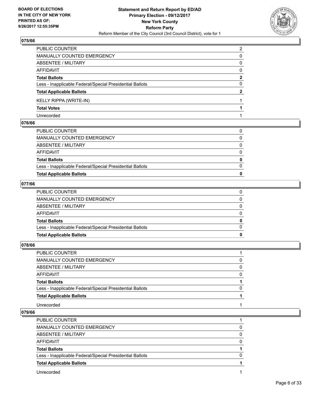

| PUBLIC COUNTER                                           | 2            |
|----------------------------------------------------------|--------------|
| MANUALLY COUNTED EMERGENCY                               | 0            |
| <b>ABSENTEE / MILITARY</b>                               | 0            |
| <b>AFFIDAVIT</b>                                         | 0            |
| <b>Total Ballots</b>                                     | $\mathbf{2}$ |
| Less - Inapplicable Federal/Special Presidential Ballots | 0            |
| <b>Total Applicable Ballots</b>                          | $\mathbf{2}$ |
| <b>KELLY RIPPA (WRITE-IN)</b>                            |              |
| <b>Total Votes</b>                                       |              |
| Unrecorded                                               |              |

#### **076/66**

| <b>Total Applicable Ballots</b>                          |          |
|----------------------------------------------------------|----------|
| Less - Inapplicable Federal/Special Presidential Ballots | 0        |
| <b>Total Ballots</b>                                     | 0        |
| AFFIDAVIT                                                | 0        |
| ABSENTEE / MILITARY                                      | $\Omega$ |
| MANUALLY COUNTED EMERGENCY                               | 0        |
| PUBLIC COUNTER                                           | 0        |
|                                                          |          |

## **077/66**

| <b>Total Applicable Ballots</b>                          |  |
|----------------------------------------------------------|--|
| Less - Inapplicable Federal/Special Presidential Ballots |  |
| <b>Total Ballots</b>                                     |  |
| AFFIDAVIT                                                |  |
| ABSENTEE / MILITARY                                      |  |
| MANUALLY COUNTED EMERGENCY                               |  |
| PUBLIC COUNTER                                           |  |

## **078/66**

| PUBLIC COUNTER                                           |              |
|----------------------------------------------------------|--------------|
| MANUALLY COUNTED EMERGENCY                               | 0            |
| ABSENTEE / MILITARY                                      | $\Omega$     |
| AFFIDAVIT                                                | 0            |
| <b>Total Ballots</b>                                     |              |
| Less - Inapplicable Federal/Special Presidential Ballots | <sup>0</sup> |
| <b>Total Applicable Ballots</b>                          |              |
| Unrecorded                                               |              |

| <b>PUBLIC COUNTER</b>                                    |   |
|----------------------------------------------------------|---|
| MANUALLY COUNTED EMERGENCY                               | 0 |
| ABSENTEE / MILITARY                                      | 0 |
| AFFIDAVIT                                                | 0 |
| <b>Total Ballots</b>                                     |   |
| Less - Inapplicable Federal/Special Presidential Ballots | O |
| <b>Total Applicable Ballots</b>                          |   |
| Unrecorded                                               |   |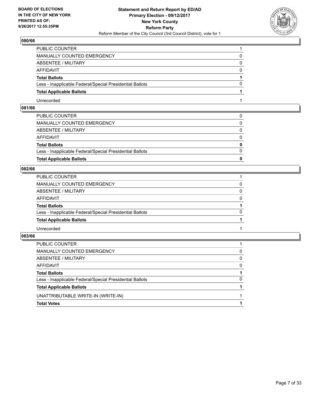

| PUBLIC COUNTER                                           |   |
|----------------------------------------------------------|---|
| MANUALLY COUNTED EMERGENCY                               | 0 |
| ABSENTEE / MILITARY                                      | 0 |
| AFFIDAVIT                                                | 0 |
| <b>Total Ballots</b>                                     |   |
| Less - Inapplicable Federal/Special Presidential Ballots | 0 |
| <b>Total Applicable Ballots</b>                          |   |
| Unrecorded                                               |   |

## **081/66**

| <b>Total Applicable Ballots</b>                          | 0            |
|----------------------------------------------------------|--------------|
| Less - Inapplicable Federal/Special Presidential Ballots | $\Omega$     |
| <b>Total Ballots</b>                                     | $\mathbf{0}$ |
| AFFIDAVIT                                                | $\Omega$     |
| ABSENTEE / MILITARY                                      | $\mathbf{0}$ |
| MANUALLY COUNTED EMERGENCY                               | 0            |
| PUBLIC COUNTER                                           |              |

## **082/66**

| PUBLIC COUNTER                                           |          |
|----------------------------------------------------------|----------|
| MANUALLY COUNTED EMERGENCY                               | 0        |
| ABSENTEE / MILITARY                                      | $\Omega$ |
| AFFIDAVIT                                                | $\Omega$ |
| <b>Total Ballots</b>                                     |          |
| Less - Inapplicable Federal/Special Presidential Ballots | $\Omega$ |
| <b>Total Applicable Ballots</b>                          |          |
| Unrecorded                                               |          |

| PUBLIC COUNTER                                           |              |
|----------------------------------------------------------|--------------|
| MANUALLY COUNTED EMERGENCY                               | 0            |
| ABSENTEE / MILITARY                                      | $\mathbf{0}$ |
| AFFIDAVIT                                                | $\Omega$     |
| <b>Total Ballots</b>                                     |              |
| Less - Inapplicable Federal/Special Presidential Ballots | $\Omega$     |
| <b>Total Applicable Ballots</b>                          |              |
| UNATTRIBUTABLE WRITE-IN (WRITE-IN)                       |              |
| <b>Total Votes</b>                                       |              |
|                                                          |              |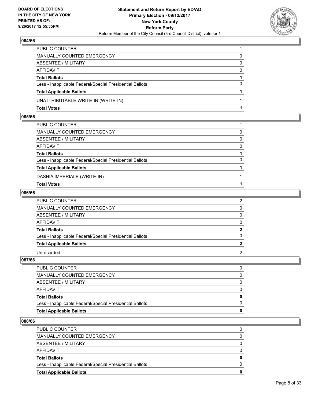

| PUBLIC COUNTER                                           |          |
|----------------------------------------------------------|----------|
| MANUALLY COUNTED EMERGENCY                               | 0        |
| ABSENTEE / MILITARY                                      | 0        |
| AFFIDAVIT                                                | $\Omega$ |
| <b>Total Ballots</b>                                     |          |
| Less - Inapplicable Federal/Special Presidential Ballots | 0        |
| <b>Total Applicable Ballots</b>                          |          |
| UNATTRIBUTABLE WRITE-IN (WRITE-IN)                       |          |
| <b>Total Votes</b>                                       |          |

#### **085/66**

| PUBLIC COUNTER                                           |          |
|----------------------------------------------------------|----------|
| MANUALLY COUNTED EMERGENCY                               | $\Omega$ |
| ABSENTEE / MILITARY                                      | $\Omega$ |
| AFFIDAVIT                                                | $\Omega$ |
| <b>Total Ballots</b>                                     |          |
| Less - Inapplicable Federal/Special Presidential Ballots | 0        |
| <b>Total Applicable Ballots</b>                          |          |
| DASHIA IMPERIALE (WRITE-IN)                              |          |
| <b>Total Votes</b>                                       |          |
|                                                          |          |

## **086/66**

| PUBLIC COUNTER                                           | 2              |
|----------------------------------------------------------|----------------|
| MANUALLY COUNTED EMERGENCY                               | 0              |
| ABSENTEE / MILITARY                                      | 0              |
| AFFIDAVIT                                                | 0              |
| <b>Total Ballots</b>                                     | 2              |
| Less - Inapplicable Federal/Special Presidential Ballots |                |
| <b>Total Applicable Ballots</b>                          | $\overline{2}$ |
| Unrecorded                                               | $\mathcal{P}$  |

**087/66** 

| PUBLIC COUNTER                                           |  |
|----------------------------------------------------------|--|
| MANUALLY COUNTED EMERGENCY                               |  |
| ABSENTEE / MILITARY                                      |  |
| AFFIDAVIT                                                |  |
| <b>Total Ballots</b>                                     |  |
| Less - Inapplicable Federal/Special Presidential Ballots |  |
| <b>Total Applicable Ballots</b>                          |  |

| <b>Total Applicable Ballots</b>                          | 0        |
|----------------------------------------------------------|----------|
| Less - Inapplicable Federal/Special Presidential Ballots | $\Omega$ |
| <b>Total Ballots</b>                                     | $\bf{0}$ |
| <b>AFFIDAVIT</b>                                         | 0        |
| ABSENTEE / MILITARY                                      | $\Omega$ |
| <b>MANUALLY COUNTED EMERGENCY</b>                        | 0        |
| PUBLIC COUNTER                                           |          |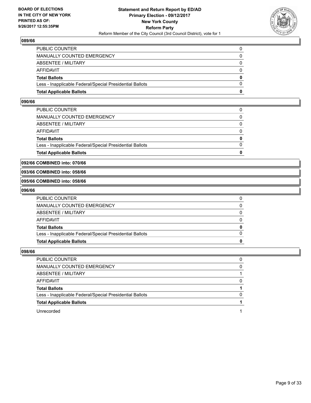

| <b>Total Applicable Ballots</b>                          | n        |
|----------------------------------------------------------|----------|
| Less - Inapplicable Federal/Special Presidential Ballots | $\Omega$ |
| <b>Total Ballots</b>                                     | $\bf{0}$ |
| AFFIDAVIT                                                | $\Omega$ |
| <b>ABSENTEE / MILITARY</b>                               | $\Omega$ |
| MANUALLY COUNTED EMERGENCY                               | 0        |
| PUBLIC COUNTER                                           | 0        |

#### **090/66**

| <b>Total Applicable Ballots</b>                          | 0        |
|----------------------------------------------------------|----------|
| Less - Inapplicable Federal/Special Presidential Ballots | $\Omega$ |
| <b>Total Ballots</b>                                     | 0        |
| AFFIDAVIT                                                | $\Omega$ |
| <b>ABSENTEE / MILITARY</b>                               | 0        |
| MANUALLY COUNTED EMERGENCY                               | 0        |
| PUBLIC COUNTER                                           |          |

#### **092/66 COMBINED into: 070/66**

#### **093/66 COMBINED into: 058/66**

#### **095/66 COMBINED into: 058/66**

#### **096/66**

| <b>Total Applicable Ballots</b>                          | 0            |
|----------------------------------------------------------|--------------|
| Less - Inapplicable Federal/Special Presidential Ballots | $\Omega$     |
| <b>Total Ballots</b>                                     | $\mathbf 0$  |
| AFFIDAVIT                                                | $\mathbf{0}$ |
| ABSENTEE / MILITARY                                      | $\Omega$     |
| MANUALLY COUNTED EMERGENCY                               | $\Omega$     |
| PUBLIC COUNTER                                           |              |

| PUBLIC COUNTER                                           |              |
|----------------------------------------------------------|--------------|
| MANUALLY COUNTED EMERGENCY                               | 0            |
| ABSENTEE / MILITARY                                      |              |
| AFFIDAVIT                                                | 0            |
| <b>Total Ballots</b>                                     |              |
| Less - Inapplicable Federal/Special Presidential Ballots | <sup>0</sup> |
| <b>Total Applicable Ballots</b>                          |              |
| Unrecorded                                               |              |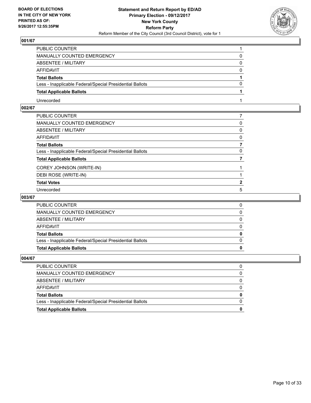

| PUBLIC COUNTER                                           |          |
|----------------------------------------------------------|----------|
| MANUALLY COUNTED EMERGENCY                               |          |
| ABSENTEE / MILITARY                                      | 0        |
| AFFIDAVIT                                                | $\Omega$ |
| <b>Total Ballots</b>                                     |          |
| Less - Inapplicable Federal/Special Presidential Ballots | $\Omega$ |
| <b>Total Applicable Ballots</b>                          |          |
| Unrecorded                                               |          |

## **002/67**

| PUBLIC COUNTER                                           |              |
|----------------------------------------------------------|--------------|
| MANUALLY COUNTED EMERGENCY                               | 0            |
| ABSENTEE / MILITARY                                      | 0            |
| AFFIDAVIT                                                | 0            |
| Total Ballots                                            |              |
| Less - Inapplicable Federal/Special Presidential Ballots | 0            |
| <b>Total Applicable Ballots</b>                          |              |
| COREY JOHNSON (WRITE-IN)                                 |              |
| DEBI ROSE (WRITE-IN)                                     |              |
| <b>Total Votes</b>                                       | $\mathbf{2}$ |
| Unrecorded                                               | 5            |

## **003/67**

| PUBLIC COUNTER                                           |  |
|----------------------------------------------------------|--|
| MANUALLY COUNTED EMERGENCY                               |  |
| ABSENTEE / MILITARY                                      |  |
| AFFIDAVIT                                                |  |
| <b>Total Ballots</b>                                     |  |
| Less - Inapplicable Federal/Special Presidential Ballots |  |
| <b>Total Applicable Ballots</b>                          |  |

| <b>PUBLIC COUNTER</b>                                    |  |
|----------------------------------------------------------|--|
| <b>MANUALLY COUNTED EMERGENCY</b>                        |  |
| ABSENTEE / MILITARY                                      |  |
| AFFIDAVIT                                                |  |
| <b>Total Ballots</b>                                     |  |
| Less - Inapplicable Federal/Special Presidential Ballots |  |
| <b>Total Applicable Ballots</b>                          |  |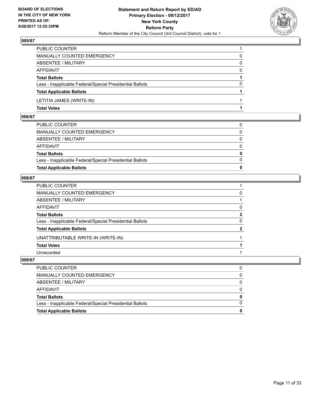

| PUBLIC COUNTER                                           |          |
|----------------------------------------------------------|----------|
| <b>MANUALLY COUNTED EMERGENCY</b>                        | 0        |
| <b>ABSENTEE / MILITARY</b>                               | 0        |
| <b>AFFIDAVIT</b>                                         | $\Omega$ |
| <b>Total Ballots</b>                                     |          |
| Less - Inapplicable Federal/Special Presidential Ballots | 0        |
| <b>Total Applicable Ballots</b>                          |          |
| LETITIA JAMES (WRITE-IN)                                 |          |
| <b>Total Votes</b>                                       |          |

#### **006/67**

| <b>Total Applicable Ballots</b>                          | 0            |
|----------------------------------------------------------|--------------|
| Less - Inapplicable Federal/Special Presidential Ballots | $\Omega$     |
| <b>Total Ballots</b>                                     | $\mathbf{0}$ |
| AFFIDAVIT                                                | $\Omega$     |
| ABSENTEE / MILITARY                                      | $\Omega$     |
| MANUALLY COUNTED EMERGENCY                               | 0            |
| PUBLIC COUNTER                                           | 0            |

## **008/67**

| PUBLIC COUNTER                                           |                |
|----------------------------------------------------------|----------------|
| MANUALLY COUNTED EMERGENCY                               | 0              |
| ABSENTEE / MILITARY                                      |                |
| AFFIDAVIT                                                | 0              |
| Total Ballots                                            | $\overline{2}$ |
| Less - Inapplicable Federal/Special Presidential Ballots | 0              |
| <b>Total Applicable Ballots</b>                          | $\mathbf{2}$   |
| UNATTRIBUTABLE WRITE-IN (WRITE-IN)                       |                |
| <b>Total Votes</b>                                       |                |
| Unrecorded                                               |                |
|                                                          |                |

| <b>Total Applicable Ballots</b>                          |          |
|----------------------------------------------------------|----------|
| Less - Inapplicable Federal/Special Presidential Ballots | $\Omega$ |
| Total Ballots                                            | 0        |
| AFFIDAVIT                                                | 0        |
| ABSENTEE / MILITARY                                      | 0        |
| MANUALLY COUNTED EMERGENCY                               | 0        |
| PUBLIC COUNTER                                           | 0        |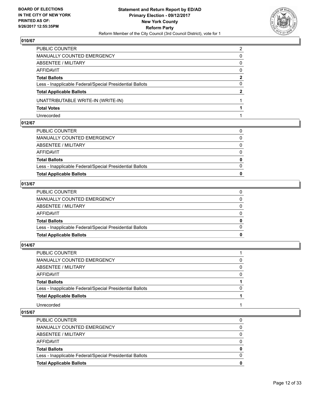

| PUBLIC COUNTER                                           | 2        |
|----------------------------------------------------------|----------|
| MANUALLY COUNTED EMERGENCY                               | 0        |
| ABSENTEE / MILITARY                                      | 0        |
| <b>AFFIDAVIT</b>                                         | $\Omega$ |
| <b>Total Ballots</b>                                     | 2        |
| Less - Inapplicable Federal/Special Presidential Ballots | $\Omega$ |
| <b>Total Applicable Ballots</b>                          | 2        |
| UNATTRIBUTABLE WRITE-IN (WRITE-IN)                       |          |
| <b>Total Votes</b>                                       |          |
| Unrecorded                                               |          |

## **012/67**

| 0        |
|----------|
|          |
| 0        |
| 0        |
|          |
| 0        |
|          |
| 0        |
| $\Omega$ |
|          |
|          |

## **013/67**

| MANUALLY COUNTED EMERGENCY                               |  |
|----------------------------------------------------------|--|
| ABSENTEE / MILITARY                                      |  |
| AFFIDAVIT                                                |  |
| <b>Total Ballots</b>                                     |  |
| Less - Inapplicable Federal/Special Presidential Ballots |  |
| <b>Total Applicable Ballots</b>                          |  |

## **014/67**

| PUBLIC COUNTER                                           |          |
|----------------------------------------------------------|----------|
| MANUALLY COUNTED EMERGENCY                               | 0        |
| ABSENTEE / MILITARY                                      | 0        |
| AFFIDAVIT                                                | $\Omega$ |
| <b>Total Ballots</b>                                     |          |
| Less - Inapplicable Federal/Special Presidential Ballots | $\Omega$ |
| <b>Total Applicable Ballots</b>                          |          |
| Unrecorded                                               |          |

| <b>PUBLIC COUNTER</b>                                    |          |
|----------------------------------------------------------|----------|
| MANUALLY COUNTED EMERGENCY                               | 0        |
| ABSENTEE / MILITARY                                      | 0        |
| AFFIDAVIT                                                | $\Omega$ |
| <b>Total Ballots</b>                                     | 0        |
| Less - Inapplicable Federal/Special Presidential Ballots | 0        |
| <b>Total Applicable Ballots</b>                          | 0        |
|                                                          |          |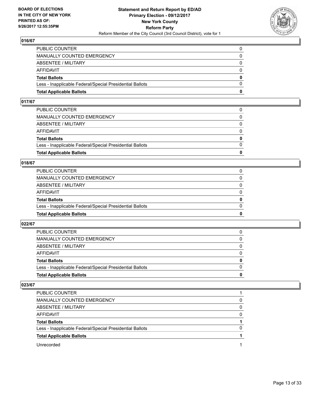

| <b>Total Applicable Ballots</b>                          | 0        |
|----------------------------------------------------------|----------|
| Less - Inapplicable Federal/Special Presidential Ballots | $\Omega$ |
| <b>Total Ballots</b>                                     | $\bf{0}$ |
| <b>AFFIDAVIT</b>                                         | $\Omega$ |
| ABSENTEE / MILITARY                                      | $\Omega$ |
| <b>MANUALLY COUNTED EMERGENCY</b>                        | $\Omega$ |
| PUBLIC COUNTER                                           |          |

#### **017/67**

| PUBLIC COUNTER                                           | $\Omega$     |
|----------------------------------------------------------|--------------|
| MANUALLY COUNTED EMERGENCY                               | 0            |
| ABSENTEE / MILITARY                                      | $\Omega$     |
| AFFIDAVIT                                                | $\Omega$     |
| <b>Total Ballots</b>                                     | $\mathbf{0}$ |
| Less - Inapplicable Federal/Special Presidential Ballots | $\Omega$     |
| <b>Total Applicable Ballots</b>                          | 0            |
|                                                          |              |

#### **018/67**

| <b>Total Applicable Ballots</b>                          | 0            |
|----------------------------------------------------------|--------------|
| Less - Inapplicable Federal/Special Presidential Ballots | $\Omega$     |
| <b>Total Ballots</b>                                     | $\mathbf{0}$ |
| <b>AFFIDAVIT</b>                                         | $\Omega$     |
| <b>ABSENTEE / MILITARY</b>                               | 0            |
| MANUALLY COUNTED EMERGENCY                               | $\Omega$     |
| PUBLIC COUNTER                                           |              |

#### **022/67**

| <b>Total Applicable Ballots</b>                          | o        |
|----------------------------------------------------------|----------|
| Less - Inapplicable Federal/Special Presidential Ballots | $\Omega$ |
| <b>Total Ballots</b>                                     | 0        |
| <b>AFFIDAVIT</b>                                         |          |
| ABSENTEE / MILITARY                                      | $\Omega$ |
| MANUALLY COUNTED EMERGENCY                               | 0        |
| PUBLIC COUNTER                                           | 0        |

| PUBLIC COUNTER                                           |   |
|----------------------------------------------------------|---|
| <b>MANUALLY COUNTED EMERGENCY</b>                        | 0 |
| ABSENTEE / MILITARY                                      | 0 |
| AFFIDAVIT                                                | 0 |
| <b>Total Ballots</b>                                     |   |
| Less - Inapplicable Federal/Special Presidential Ballots | 0 |
| <b>Total Applicable Ballots</b>                          |   |
| Unrecorded                                               |   |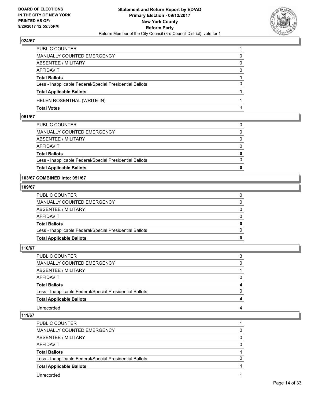

| <b>Total Votes</b>                                       |          |
|----------------------------------------------------------|----------|
| HELEN ROSENTHAL (WRITE-IN)                               |          |
| <b>Total Applicable Ballots</b>                          |          |
| Less - Inapplicable Federal/Special Presidential Ballots | $\Omega$ |
| <b>Total Ballots</b>                                     |          |
| <b>AFFIDAVIT</b>                                         | $\Omega$ |
| <b>ABSENTEE / MILITARY</b>                               | 0        |
| <b>MANUALLY COUNTED EMERGENCY</b>                        | 0        |
| PUBLIC COUNTER                                           |          |

## **051/67**

| <b>Total Applicable Ballots</b>                          | 0            |
|----------------------------------------------------------|--------------|
| Less - Inapplicable Federal/Special Presidential Ballots | $\Omega$     |
| <b>Total Ballots</b>                                     | $\mathbf{0}$ |
| AFFIDAVIT                                                | $\Omega$     |
| ABSENTEE / MILITARY                                      | 0            |
| MANUALLY COUNTED EMERGENCY                               | $\Omega$     |
| PUBLIC COUNTER                                           | 0            |

## **103/67 COMBINED into: 051/67**

#### **109/67**

| 0            |
|--------------|
|              |
| $\Omega$     |
| $\mathbf{0}$ |
| $\Omega$     |
| $\Omega$     |
| $\Omega$     |
|              |
|              |

## **110/67**

| PUBLIC COUNTER                                           | 3        |
|----------------------------------------------------------|----------|
| MANUALLY COUNTED EMERGENCY                               | 0        |
| ABSENTEE / MILITARY                                      |          |
| AFFIDAVIT                                                | $\Omega$ |
| <b>Total Ballots</b>                                     | 4        |
| Less - Inapplicable Federal/Special Presidential Ballots | $\Omega$ |
| <b>Total Applicable Ballots</b>                          | 4        |
| Unrecorded                                               | 4        |

| PUBLIC COUNTER                                           |   |
|----------------------------------------------------------|---|
| MANUALLY COUNTED EMERGENCY                               | 0 |
| ABSENTEE / MILITARY                                      |   |
| AFFIDAVIT                                                | 0 |
| <b>Total Ballots</b>                                     |   |
| Less - Inapplicable Federal/Special Presidential Ballots |   |
| <b>Total Applicable Ballots</b>                          |   |
| Unrecorded                                               |   |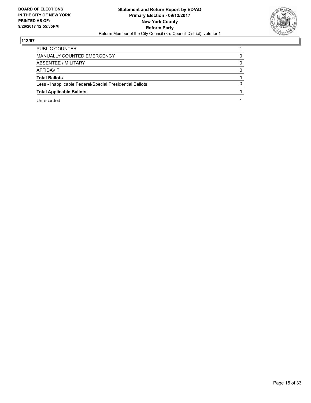

| PUBLIC COUNTER                                           |   |
|----------------------------------------------------------|---|
| MANUALLY COUNTED EMERGENCY                               | 0 |
| ABSENTEE / MILITARY                                      | 0 |
| AFFIDAVIT                                                | 0 |
| <b>Total Ballots</b>                                     |   |
| Less - Inapplicable Federal/Special Presidential Ballots |   |
| <b>Total Applicable Ballots</b>                          |   |
| Unrecorded                                               |   |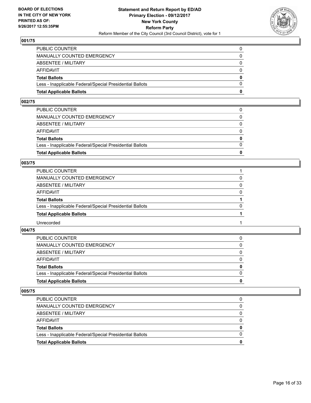

| <b>Total Applicable Ballots</b>                          | 0            |
|----------------------------------------------------------|--------------|
| Less - Inapplicable Federal/Special Presidential Ballots | $\Omega$     |
| <b>Total Ballots</b>                                     | $\mathbf{0}$ |
| <b>AFFIDAVIT</b>                                         | $\Omega$     |
| ABSENTEE / MILITARY                                      | $\mathbf{0}$ |
| <b>MANUALLY COUNTED EMERGENCY</b>                        | $\Omega$     |
| PUBLIC COUNTER                                           |              |

#### **002/75**

| <b>Total Applicable Ballots</b>                          | 0            |
|----------------------------------------------------------|--------------|
|                                                          |              |
| Less - Inapplicable Federal/Special Presidential Ballots | $\Omega$     |
| <b>Total Ballots</b>                                     | $\mathbf{0}$ |
| AFFIDAVIT                                                | $\Omega$     |
| ABSENTEE / MILITARY                                      | $\Omega$     |
| MANUALLY COUNTED EMERGENCY                               | 0            |
| PUBLIC COUNTER                                           |              |
|                                                          |              |

## **003/75**

| MANUALLY COUNTED EMERGENCY<br>0<br>ABSENTEE / MILITARY<br>0<br>AFFIDAVIT<br>$\Omega$<br><b>Total Ballots</b><br>$\Omega$<br>Less - Inapplicable Federal/Special Presidential Ballots<br><b>Total Applicable Ballots</b><br>Unrecorded | PUBLIC COUNTER |  |
|---------------------------------------------------------------------------------------------------------------------------------------------------------------------------------------------------------------------------------------|----------------|--|
|                                                                                                                                                                                                                                       |                |  |
|                                                                                                                                                                                                                                       |                |  |
|                                                                                                                                                                                                                                       |                |  |
|                                                                                                                                                                                                                                       |                |  |
|                                                                                                                                                                                                                                       |                |  |
|                                                                                                                                                                                                                                       |                |  |
|                                                                                                                                                                                                                                       |                |  |

#### **004/75**

| <b>Total Applicable Ballots</b>                          | 0        |
|----------------------------------------------------------|----------|
| Less - Inapplicable Federal/Special Presidential Ballots | $\Omega$ |
| <b>Total Ballots</b>                                     | 0        |
| AFFIDAVIT                                                | 0        |
| ABSENTEE / MILITARY                                      | 0        |
| MANUALLY COUNTED EMERGENCY                               | 0        |
| <b>PUBLIC COUNTER</b>                                    |          |

| Less - Inapplicable Federal/Special Presidential Ballots |   |
|----------------------------------------------------------|---|
| <b>Total Ballots</b>                                     | 0 |
| AFFIDAVIT                                                |   |
| ABSENTEE / MILITARY                                      |   |
| MANUALLY COUNTED EMERGENCY                               | 0 |
| <b>PUBLIC COUNTER</b>                                    | 0 |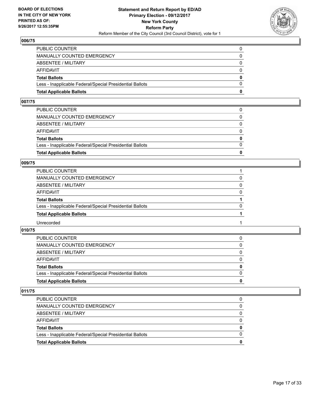

| <b>Total Applicable Ballots</b>                          | 0            |
|----------------------------------------------------------|--------------|
| Less - Inapplicable Federal/Special Presidential Ballots | $\Omega$     |
| <b>Total Ballots</b>                                     | $\mathbf{0}$ |
| <b>AFFIDAVIT</b>                                         | $\Omega$     |
| ABSENTEE / MILITARY                                      | $\mathbf{0}$ |
| <b>MANUALLY COUNTED EMERGENCY</b>                        | $\Omega$     |
| PUBLIC COUNTER                                           |              |

#### **007/75**

| PUBLIC COUNTER                                           | 0            |
|----------------------------------------------------------|--------------|
|                                                          |              |
| MANUALLY COUNTED EMERGENCY                               | 0            |
|                                                          |              |
| ABSENTEE / MILITARY                                      | $\Omega$     |
|                                                          |              |
|                                                          |              |
| AFFIDAVIT                                                | $\Omega$     |
|                                                          |              |
| <b>Total Ballots</b>                                     | $\mathbf{0}$ |
|                                                          |              |
| Less - Inapplicable Federal/Special Presidential Ballots | $\Omega$     |
|                                                          |              |
| <b>Total Applicable Ballots</b>                          | 0            |
|                                                          |              |

#### **009/75**

| MANUALLY COUNTED EMERGENCY<br>0<br>ABSENTEE / MILITARY<br>0<br>AFFIDAVIT<br>$\Omega$<br><b>Total Ballots</b><br>$\Omega$<br>Less - Inapplicable Federal/Special Presidential Ballots<br><b>Total Applicable Ballots</b><br>Unrecorded | PUBLIC COUNTER |  |
|---------------------------------------------------------------------------------------------------------------------------------------------------------------------------------------------------------------------------------------|----------------|--|
|                                                                                                                                                                                                                                       |                |  |
|                                                                                                                                                                                                                                       |                |  |
|                                                                                                                                                                                                                                       |                |  |
|                                                                                                                                                                                                                                       |                |  |
|                                                                                                                                                                                                                                       |                |  |
|                                                                                                                                                                                                                                       |                |  |
|                                                                                                                                                                                                                                       |                |  |

#### **010/75**

| <b>Total Applicable Ballots</b>                          | 0            |
|----------------------------------------------------------|--------------|
| Less - Inapplicable Federal/Special Presidential Ballots | <sup>0</sup> |
| <b>Total Ballots</b>                                     | 0            |
| AFFIDAVIT                                                | 0            |
| ABSENTEE / MILITARY                                      | 0            |
| MANUALLY COUNTED EMERGENCY                               |              |
| <b>PUBLIC COUNTER</b>                                    |              |

| <b>PUBLIC COUNTER</b>                                    |   |
|----------------------------------------------------------|---|
| MANUALLY COUNTED EMERGENCY                               |   |
| ABSENTEE / MILITARY                                      |   |
| AFFIDAVIT                                                | 0 |
| <b>Total Ballots</b>                                     | 0 |
| Less - Inapplicable Federal/Special Presidential Ballots |   |
| <b>Total Applicable Ballots</b>                          | o |
|                                                          |   |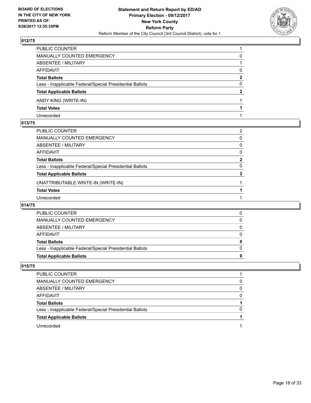

| PUBLIC COUNTER                                           |   |
|----------------------------------------------------------|---|
| MANUALLY COUNTED EMERGENCY                               | 0 |
| <b>ABSENTEE / MILITARY</b>                               |   |
| AFFIDAVIT                                                | 0 |
| <b>Total Ballots</b>                                     | 2 |
| Less - Inapplicable Federal/Special Presidential Ballots | 0 |
| <b>Total Applicable Ballots</b>                          | 2 |
| ANDY KING (WRITE-IN)                                     |   |
| <b>Total Votes</b>                                       |   |
| Unrecorded                                               |   |

## **013/75**

| PUBLIC COUNTER                                           | 2            |
|----------------------------------------------------------|--------------|
| MANUALLY COUNTED EMERGENCY                               | 0            |
| ABSENTEE / MILITARY                                      | 0            |
| AFFIDAVIT                                                | 0            |
| Total Ballots                                            | $\mathbf{2}$ |
| Less - Inapplicable Federal/Special Presidential Ballots | 0            |
| <b>Total Applicable Ballots</b>                          | 2            |
| UNATTRIBUTABLE WRITE-IN (WRITE-IN)                       |              |
| Total Votes                                              |              |
| Unrecorded                                               |              |

## **014/75**

| <b>PUBLIC COUNTER</b>                                    |  |
|----------------------------------------------------------|--|
| MANUALLY COUNTED EMERGENCY                               |  |
| ABSENTEE / MILITARY                                      |  |
| AFFIDAVIT                                                |  |
| <b>Total Ballots</b>                                     |  |
| Less - Inapplicable Federal/Special Presidential Ballots |  |
| <b>Total Applicable Ballots</b>                          |  |

| <b>PUBLIC COUNTER</b>                                    |   |
|----------------------------------------------------------|---|
| MANUALLY COUNTED EMERGENCY                               | O |
| ABSENTEE / MILITARY                                      | O |
| AFFIDAVIT                                                | O |
| <b>Total Ballots</b>                                     |   |
| Less - Inapplicable Federal/Special Presidential Ballots | n |
| <b>Total Applicable Ballots</b>                          |   |
| Unrecorded                                               |   |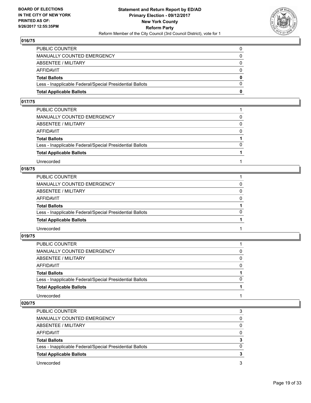

| <b>Total Applicable Ballots</b>                          | 0        |
|----------------------------------------------------------|----------|
| Less - Inapplicable Federal/Special Presidential Ballots | $\Omega$ |
| <b>Total Ballots</b>                                     | $\bf{0}$ |
| <b>AFFIDAVIT</b>                                         | $\Omega$ |
| <b>ABSENTEE / MILITARY</b>                               | $\Omega$ |
| MANUALLY COUNTED EMERGENCY                               | 0        |
| PUBLIC COUNTER                                           | 0        |

#### **017/75**

| PUBLIC COUNTER                                           |          |
|----------------------------------------------------------|----------|
| MANUALLY COUNTED EMERGENCY                               | 0        |
| <b>ABSENTEE / MILITARY</b>                               | $\Omega$ |
| AFFIDAVIT                                                | $\Omega$ |
| <b>Total Ballots</b>                                     |          |
| Less - Inapplicable Federal/Special Presidential Ballots | $\Omega$ |
| <b>Total Applicable Ballots</b>                          |          |
| Unrecorded                                               |          |

## **018/75**

| PUBLIC COUNTER                                           |          |
|----------------------------------------------------------|----------|
| MANUALLY COUNTED EMERGENCY                               |          |
| ABSENTEE / MILITARY                                      | 0        |
| AFFIDAVIT                                                | $\Omega$ |
| <b>Total Ballots</b>                                     |          |
| Less - Inapplicable Federal/Special Presidential Ballots | $\Omega$ |
| <b>Total Applicable Ballots</b>                          |          |
| Unrecorded                                               |          |

**019/75** 

| PUBLIC COUNTER                                           |          |
|----------------------------------------------------------|----------|
| MANUALLY COUNTED EMERGENCY                               | 0        |
| ABSENTEE / MILITARY                                      | 0        |
| AFFIDAVIT                                                | $\Omega$ |
| <b>Total Ballots</b>                                     |          |
| Less - Inapplicable Federal/Special Presidential Ballots | $\Omega$ |
| <b>Total Applicable Ballots</b>                          |          |
| Unrecorded                                               |          |

| PUBLIC COUNTER                                           |   |
|----------------------------------------------------------|---|
| MANUALLY COUNTED EMERGENCY                               | 0 |
| ABSENTEE / MILITARY                                      | 0 |
| AFFIDAVIT                                                | 0 |
| <b>Total Ballots</b>                                     |   |
| Less - Inapplicable Federal/Special Presidential Ballots | O |
| <b>Total Applicable Ballots</b>                          |   |
| Unrecorded                                               | 3 |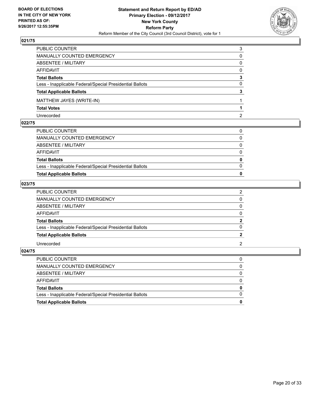

| PUBLIC COUNTER                                           | 3        |
|----------------------------------------------------------|----------|
| MANUALLY COUNTED EMERGENCY                               | 0        |
| <b>ABSENTEE / MILITARY</b>                               | 0        |
| <b>AFFIDAVIT</b>                                         | 0        |
| <b>Total Ballots</b>                                     | 3        |
| Less - Inapplicable Federal/Special Presidential Ballots | $\Omega$ |
| <b>Total Applicable Ballots</b>                          | 3        |
| MATTHEW JAYES (WRITE-IN)                                 |          |
| <b>Total Votes</b>                                       |          |
| Unrecorded                                               | 2        |

## **022/75**

| PUBLIC COUNTER                                           | 0            |
|----------------------------------------------------------|--------------|
| MANUALLY COUNTED EMERGENCY                               | $\mathbf{0}$ |
| ABSENTEE / MILITARY                                      | $\Omega$     |
| AFFIDAVIT                                                | $\Omega$     |
| <b>Total Ballots</b>                                     | $\mathbf 0$  |
| Less - Inapplicable Federal/Special Presidential Ballots | $\Omega$     |
| <b>Total Applicable Ballots</b>                          | 0            |
|                                                          |              |

## **023/75**

| PUBLIC COUNTER                                           |   |
|----------------------------------------------------------|---|
| MANUALLY COUNTED EMERGENCY                               | 0 |
| ABSENTEE / MILITARY                                      | 0 |
| AFFIDAVIT                                                | 0 |
| <b>Total Ballots</b>                                     | 2 |
| Less - Inapplicable Federal/Special Presidential Ballots | 0 |
| <b>Total Applicable Ballots</b>                          |   |
| Unrecorded                                               | 2 |

| Less - Inapplicable Federal/Special Presidential Ballots | $\Omega$     |
|----------------------------------------------------------|--------------|
| <b>Total Ballots</b>                                     | $\mathbf{0}$ |
|                                                          |              |
| AFFIDAVIT                                                | $\Omega$     |
|                                                          |              |
| ABSENTEE / MILITARY                                      | 0            |
| MANUALLY COUNTED EMERGENCY                               | $\Omega$     |
|                                                          |              |
| PUBLIC COUNTER                                           | 0            |
|                                                          |              |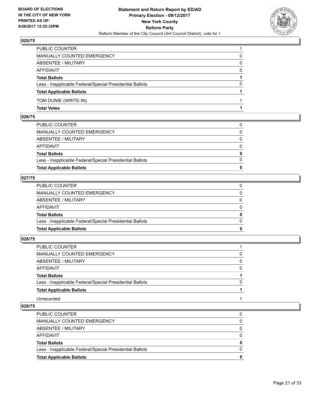

| PUBLIC COUNTER                                           |          |
|----------------------------------------------------------|----------|
| MANUALLY COUNTED EMERGENCY                               | 0        |
| ABSENTEE / MILITARY                                      | 0        |
| AFFIDAVIT                                                | $\Omega$ |
| <b>Total Ballots</b>                                     |          |
| Less - Inapplicable Federal/Special Presidential Ballots | $\Omega$ |
| <b>Total Applicable Ballots</b>                          |          |
| TOM DUNIE (WRITE-IN)                                     |          |
| <b>Total Votes</b>                                       |          |

## **026/75**

| <b>Total Applicable Ballots</b>                          | $\bf{0}$     |
|----------------------------------------------------------|--------------|
| Less - Inapplicable Federal/Special Presidential Ballots | $\Omega$     |
| <b>Total Ballots</b>                                     | $\mathbf{0}$ |
| AFFIDAVIT                                                | 0            |
| ABSENTEE / MILITARY                                      | $\Omega$     |
| MANUALLY COUNTED EMERGENCY                               | $\mathbf{0}$ |
| PUBLIC COUNTER                                           | 0            |
|                                                          |              |

## **027/75**

| <b>Total Applicable Ballots</b>                          | $\bf{0}$     |
|----------------------------------------------------------|--------------|
| Less - Inapplicable Federal/Special Presidential Ballots | $\Omega$     |
| <b>Total Ballots</b>                                     | $\bf{0}$     |
| AFFIDAVIT                                                | 0            |
| ABSENTEE / MILITARY                                      | $\Omega$     |
| MANUALLY COUNTED EMERGENCY                               | $\mathbf{0}$ |
| PUBLIC COUNTER                                           | 0            |
|                                                          |              |

## **028/75**

| PUBLIC COUNTER                                           |          |
|----------------------------------------------------------|----------|
| MANUALLY COUNTED EMERGENCY                               | $\Omega$ |
| <b>ABSENTEE / MILITARY</b>                               | 0        |
| AFFIDAVIT                                                | $\Omega$ |
| <b>Total Ballots</b>                                     |          |
| Less - Inapplicable Federal/Special Presidential Ballots | $\Omega$ |
| <b>Total Applicable Ballots</b>                          |          |
| Unrecorded                                               |          |

| <b>Total Applicable Ballots</b>                          |   |
|----------------------------------------------------------|---|
| Less - Inapplicable Federal/Special Presidential Ballots | O |
| <b>Total Ballots</b>                                     |   |
| AFFIDAVIT                                                |   |
| ABSENTEE / MILITARY                                      | 0 |
| MANUALLY COUNTED EMERGENCY                               | 0 |
| <b>PUBLIC COUNTER</b>                                    | 0 |
|                                                          |   |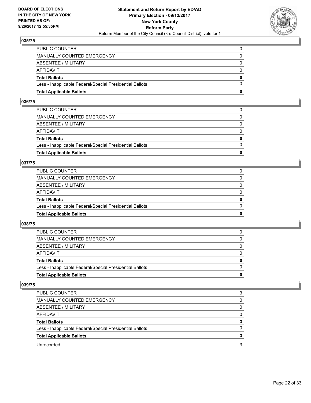

| <b>Total Applicable Ballots</b>                          | 0            |
|----------------------------------------------------------|--------------|
| Less - Inapplicable Federal/Special Presidential Ballots | $\Omega$     |
| <b>Total Ballots</b>                                     | $\mathbf{0}$ |
| <b>AFFIDAVIT</b>                                         | $\Omega$     |
| ABSENTEE / MILITARY                                      | $\mathbf{0}$ |
| <b>MANUALLY COUNTED EMERGENCY</b>                        | $\Omega$     |
| PUBLIC COUNTER                                           |              |

#### **036/75**

| <b>Total Applicable Ballots</b>                          | 0            |
|----------------------------------------------------------|--------------|
|                                                          |              |
| Less - Inapplicable Federal/Special Presidential Ballots | $\Omega$     |
| <b>Total Ballots</b>                                     | $\mathbf{0}$ |
| AFFIDAVIT                                                | $\Omega$     |
| ABSENTEE / MILITARY                                      | $\Omega$     |
| MANUALLY COUNTED EMERGENCY                               | 0            |
| PUBLIC COUNTER                                           |              |
|                                                          |              |

## **037/75**

| <b>Total Applicable Ballots</b>                          | 0        |
|----------------------------------------------------------|----------|
| Less - Inapplicable Federal/Special Presidential Ballots | 0        |
| <b>Total Ballots</b>                                     | 0        |
| AFFIDAVIT                                                | 0        |
| <b>ABSENTEE / MILITARY</b>                               | $\Omega$ |
| MANUALLY COUNTED EMERGENCY                               |          |
| PUBLIC COUNTER                                           |          |

#### **038/75**

| <b>Total Applicable Ballots</b>                          | o        |
|----------------------------------------------------------|----------|
| Less - Inapplicable Federal/Special Presidential Ballots | $\Omega$ |
| <b>Total Ballots</b>                                     | 0        |
| <b>AFFIDAVIT</b>                                         |          |
| ABSENTEE / MILITARY                                      | $\Omega$ |
| MANUALLY COUNTED EMERGENCY                               | 0        |
| PUBLIC COUNTER                                           | 0        |

| <b>PUBLIC COUNTER</b>                                    | 3 |
|----------------------------------------------------------|---|
| MANUALLY COUNTED EMERGENCY                               | 0 |
| ABSENTEE / MILITARY                                      | 0 |
| AFFIDAVIT                                                | 0 |
| <b>Total Ballots</b>                                     | 3 |
| Less - Inapplicable Federal/Special Presidential Ballots | 0 |
| <b>Total Applicable Ballots</b>                          |   |
| Unrecorded                                               | 3 |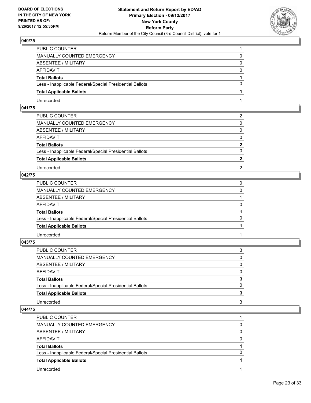

| PUBLIC COUNTER                                           |   |
|----------------------------------------------------------|---|
| MANUALLY COUNTED EMERGENCY                               | 0 |
| ABSENTEE / MILITARY                                      | 0 |
| AFFIDAVIT                                                | 0 |
| <b>Total Ballots</b>                                     |   |
| Less - Inapplicable Federal/Special Presidential Ballots | 0 |
| <b>Total Applicable Ballots</b>                          |   |
| Unrecorded                                               |   |

## **041/75**

| PUBLIC COUNTER                                           | 2            |
|----------------------------------------------------------|--------------|
| MANUALLY COUNTED EMERGENCY                               | 0            |
| ABSENTEE / MILITARY                                      | $\Omega$     |
| AFFIDAVIT                                                | $\Omega$     |
| <b>Total Ballots</b>                                     | $\mathbf{2}$ |
| Less - Inapplicable Federal/Special Presidential Ballots | $\Omega$     |
| <b>Total Applicable Ballots</b>                          |              |
| Unrecorded                                               | 2            |
|                                                          |              |

# **042/75**

| PUBLIC COUNTER                                           |          |
|----------------------------------------------------------|----------|
| MANUALLY COUNTED EMERGENCY                               | 0        |
| ABSENTEE / MILITARY                                      |          |
| AFFIDAVIT                                                | 0        |
| <b>Total Ballots</b>                                     |          |
| Less - Inapplicable Federal/Special Presidential Ballots | $\Omega$ |
| <b>Total Applicable Ballots</b>                          |          |
| Unrecorded                                               |          |

**043/75** 

| PUBLIC COUNTER                                           | 3 |
|----------------------------------------------------------|---|
| MANUALLY COUNTED EMERGENCY                               | 0 |
| ABSENTEE / MILITARY                                      | 0 |
| AFFIDAVIT                                                | 0 |
| <b>Total Ballots</b>                                     | 3 |
| Less - Inapplicable Federal/Special Presidential Ballots | 0 |
| <b>Total Applicable Ballots</b>                          |   |
| Unrecorded                                               | 3 |

| <b>PUBLIC COUNTER</b>                                    |   |
|----------------------------------------------------------|---|
| MANUALLY COUNTED EMERGENCY                               |   |
| ABSENTEE / MILITARY                                      |   |
| AFFIDAVIT                                                |   |
| <b>Total Ballots</b>                                     |   |
| Less - Inapplicable Federal/Special Presidential Ballots | n |
| <b>Total Applicable Ballots</b>                          |   |
| Unrecorded                                               |   |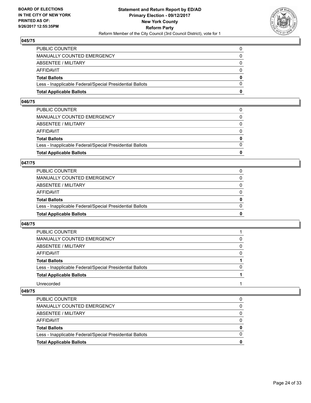

| <b>Total Applicable Ballots</b>                          | 0            |
|----------------------------------------------------------|--------------|
| Less - Inapplicable Federal/Special Presidential Ballots | $\Omega$     |
| <b>Total Ballots</b>                                     | $\mathbf{0}$ |
| <b>AFFIDAVIT</b>                                         | $\Omega$     |
| ABSENTEE / MILITARY                                      | $\mathbf{0}$ |
| <b>MANUALLY COUNTED EMERGENCY</b>                        | $\Omega$     |
| PUBLIC COUNTER                                           |              |

#### **046/75**

| PUBLIC COUNTER                                           | 0            |
|----------------------------------------------------------|--------------|
| MANUALLY COUNTED EMERGENCY                               | 0            |
| ABSENTEE / MILITARY                                      | $\Omega$     |
| AFFIDAVIT                                                | $\Omega$     |
| <b>Total Ballots</b>                                     | $\mathbf{0}$ |
| Less - Inapplicable Federal/Special Presidential Ballots | $\Omega$     |
| <b>Total Applicable Ballots</b>                          | 0            |
|                                                          |              |

#### **047/75**

| <b>Total Applicable Ballots</b>                          | o        |
|----------------------------------------------------------|----------|
| Less - Inapplicable Federal/Special Presidential Ballots | $\Omega$ |
| <b>Total Ballots</b>                                     | 0        |
| <b>AFFIDAVIT</b>                                         | 0        |
| <b>ABSENTEE / MILITARY</b>                               | $\Omega$ |
| <b>MANUALLY COUNTED EMERGENCY</b>                        | 0        |
| PUBLIC COUNTER                                           |          |

## **048/75**

| PUBLIC COUNTER                                           |          |
|----------------------------------------------------------|----------|
| MANUALLY COUNTED EMERGENCY                               | 0        |
| ABSENTEE / MILITARY                                      | 0        |
| AFFIDAVIT                                                | 0        |
| <b>Total Ballots</b>                                     |          |
| Less - Inapplicable Federal/Special Presidential Ballots | $\Omega$ |
| <b>Total Applicable Ballots</b>                          |          |
| Unrecorded                                               |          |

| Less - Inapplicable Federal/Special Presidential Ballots |   |
|----------------------------------------------------------|---|
| <b>Total Ballots</b>                                     | 0 |
| AFFIDAVIT                                                |   |
| ABSENTEE / MILITARY                                      |   |
| MANUALLY COUNTED EMERGENCY                               | 0 |
| <b>PUBLIC COUNTER</b>                                    |   |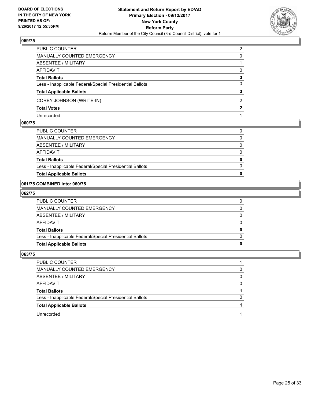

| MANUALLY COUNTED EMERGENCY<br><b>ABSENTEE / MILITARY</b><br><b>AFFIDAVIT</b><br><b>Total Ballots</b><br>Less - Inapplicable Federal/Special Presidential Ballots<br><b>Total Applicable Ballots</b><br>COREY JOHNSON (WRITE-IN)<br><b>Total Votes</b><br>Unrecorded | PUBLIC COUNTER | 2        |
|---------------------------------------------------------------------------------------------------------------------------------------------------------------------------------------------------------------------------------------------------------------------|----------------|----------|
|                                                                                                                                                                                                                                                                     |                | 0        |
|                                                                                                                                                                                                                                                                     |                |          |
|                                                                                                                                                                                                                                                                     |                | $\Omega$ |
|                                                                                                                                                                                                                                                                     |                | 3        |
|                                                                                                                                                                                                                                                                     |                | 0        |
|                                                                                                                                                                                                                                                                     |                | 3        |
|                                                                                                                                                                                                                                                                     |                | 2        |
|                                                                                                                                                                                                                                                                     |                | 2        |
|                                                                                                                                                                                                                                                                     |                |          |

#### **060/75**

| PUBLIC COUNTER                                           | 0            |
|----------------------------------------------------------|--------------|
| MANUALLY COUNTED EMERGENCY                               | $\Omega$     |
| ABSENTEE / MILITARY                                      | $\Omega$     |
| AFFIDAVIT                                                | 0            |
| <b>Total Ballots</b>                                     | $\mathbf{0}$ |
| Less - Inapplicable Federal/Special Presidential Ballots | $\Omega$     |
| <b>Total Applicable Ballots</b>                          | o            |
|                                                          |              |

#### **061/75 COMBINED into: 060/75**

#### **062/75**

| <b>Total Applicable Ballots</b>                          |              |
|----------------------------------------------------------|--------------|
| Less - Inapplicable Federal/Special Presidential Ballots | <sup>0</sup> |
| Total Ballots                                            |              |
| AFFIDAVIT                                                | 0            |
| ABSENTEE / MILITARY                                      | 0            |
| MANUALLY COUNTED EMERGENCY                               | 0            |
| PUBLIC COUNTER                                           |              |

| <b>PUBLIC COUNTER</b>                                    |              |
|----------------------------------------------------------|--------------|
| MANUALLY COUNTED EMERGENCY                               | 0            |
| ABSENTEE / MILITARY                                      |              |
| <b>AFFIDAVIT</b>                                         | 0            |
| <b>Total Ballots</b>                                     |              |
| Less - Inapplicable Federal/Special Presidential Ballots | <sup>0</sup> |
| <b>Total Applicable Ballots</b>                          |              |
| Unrecorded                                               |              |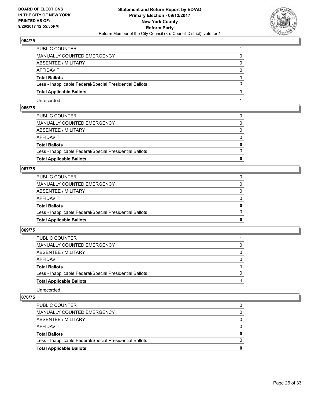

| PUBLIC COUNTER                                           |   |
|----------------------------------------------------------|---|
| MANUALLY COUNTED EMERGENCY                               | 0 |
| ABSENTEE / MILITARY                                      | 0 |
| AFFIDAVIT                                                | 0 |
| <b>Total Ballots</b>                                     |   |
| Less - Inapplicable Federal/Special Presidential Ballots | 0 |
| <b>Total Applicable Ballots</b>                          |   |
| Unrecorded                                               |   |

## **066/75**

| <b>Total Applicable Ballots</b>                          | $\bf{0}$     |
|----------------------------------------------------------|--------------|
| Less - Inapplicable Federal/Special Presidential Ballots | $\Omega$     |
| <b>Total Ballots</b>                                     | $\mathbf{0}$ |
| AFFIDAVIT                                                | $\Omega$     |
| ABSENTEE / MILITARY                                      | $\mathbf{0}$ |
| MANUALLY COUNTED EMERGENCY                               | 0            |
| PUBLIC COUNTER                                           |              |

## **067/75**

| <b>Total Applicable Ballots</b>                          | 0            |
|----------------------------------------------------------|--------------|
| Less - Inapplicable Federal/Special Presidential Ballots | $\Omega$     |
| <b>Total Ballots</b>                                     | $\mathbf{0}$ |
| AFFIDAVIT                                                | $\Omega$     |
| ABSENTEE / MILITARY                                      | $\mathbf{0}$ |
| MANUALLY COUNTED EMERGENCY                               | 0            |
| PUBLIC COUNTER                                           |              |

## **069/75**

| PUBLIC COUNTER                                           |          |
|----------------------------------------------------------|----------|
| <b>MANUALLY COUNTED EMERGENCY</b>                        |          |
| ABSENTEE / MILITARY                                      | $\Omega$ |
| AFFIDAVIT                                                | 0        |
| <b>Total Ballots</b>                                     |          |
| Less - Inapplicable Federal/Special Presidential Ballots | 0        |
| <b>Total Applicable Ballots</b>                          |          |
| Unrecorded                                               |          |

| Less - Inapplicable Federal/Special Presidential Ballots<br><b>Total Applicable Ballots</b> | 0<br>o |
|---------------------------------------------------------------------------------------------|--------|
| <b>Total Ballots</b>                                                                        | 0      |
| AFFIDAVIT                                                                                   | 0      |
| ABSENTEE / MILITARY                                                                         | 0      |
| MANUALLY COUNTED EMERGENCY                                                                  | 0      |
| PUBLIC COUNTER                                                                              |        |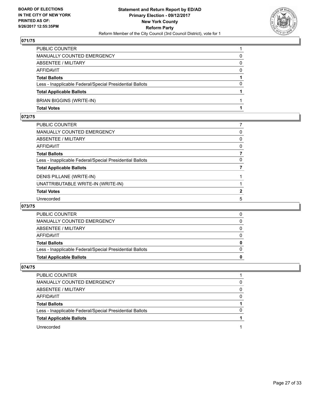

| Less - Inapplicable Federal/Special Presidential Ballots | $\Omega$ |
|----------------------------------------------------------|----------|
| <b>Total Ballots</b>                                     |          |
| <b>AFFIDAVIT</b>                                         | $\Omega$ |
| ABSENTEE / MILITARY                                      | 0        |
| MANUALLY COUNTED EMERGENCY                               |          |
| PUBLIC COUNTER                                           |          |

## **072/75**

| PUBLIC COUNTER                                           |              |
|----------------------------------------------------------|--------------|
| MANUALLY COUNTED EMERGENCY                               | 0            |
| ABSENTEE / MILITARY                                      | 0            |
| AFFIDAVIT                                                | 0            |
| Total Ballots                                            |              |
| Less - Inapplicable Federal/Special Presidential Ballots | $\Omega$     |
| <b>Total Applicable Ballots</b>                          |              |
| DENIS PILLANE (WRITE-IN)                                 |              |
| UNATTRIBUTABLE WRITE-IN (WRITE-IN)                       |              |
| <b>Total Votes</b>                                       | $\mathbf{2}$ |
| Unrecorded                                               | 5            |

## **073/75**

| <b>AFFIDAVIT</b>                                         |  |
|----------------------------------------------------------|--|
| <b>Total Ballots</b>                                     |  |
| Less - Inapplicable Federal/Special Presidential Ballots |  |
| <b>Total Applicable Ballots</b>                          |  |

| PUBLIC COUNTER                                           |   |
|----------------------------------------------------------|---|
| <b>MANUALLY COUNTED EMERGENCY</b>                        |   |
| ABSENTEE / MILITARY                                      |   |
| AFFIDAVIT                                                |   |
| <b>Total Ballots</b>                                     |   |
| Less - Inapplicable Federal/Special Presidential Ballots | n |
| <b>Total Applicable Ballots</b>                          |   |
| Unrecorded                                               |   |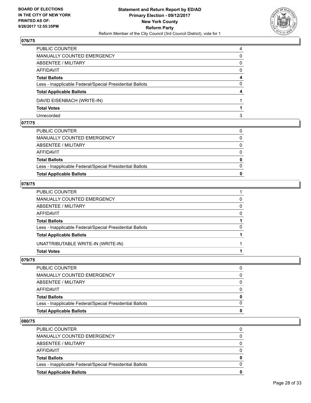

| PUBLIC COUNTER                                           | 4        |
|----------------------------------------------------------|----------|
| <b>MANUALLY COUNTED EMERGENCY</b>                        | 0        |
| <b>ABSENTEE / MILITARY</b>                               | 0        |
| AFFIDAVIT                                                | 0        |
| <b>Total Ballots</b>                                     | 4        |
| Less - Inapplicable Federal/Special Presidential Ballots | $\Omega$ |
| <b>Total Applicable Ballots</b>                          | 4        |
| DAVID EISENBACH (WRITE-IN)                               |          |
| <b>Total Votes</b>                                       |          |
| Unrecorded                                               | 3        |

## **077/75**

| PUBLIC COUNTER                                           |   |
|----------------------------------------------------------|---|
| MANUALLY COUNTED EMERGENCY                               | 0 |
| ABSENTEE / MILITARY                                      | 0 |
| AFFIDAVIT                                                | 0 |
| <b>Total Ballots</b>                                     | 0 |
| Less - Inapplicable Federal/Special Presidential Ballots | 0 |
| <b>Total Applicable Ballots</b>                          | 0 |
|                                                          |   |

## **078/75**

| MANUALLY COUNTED EMERGENCY<br>0<br><b>ABSENTEE / MILITARY</b><br>0<br>AFFIDAVIT<br>0<br><b>Total Ballots</b><br>0<br>Less - Inapplicable Federal/Special Presidential Ballots<br><b>Total Applicable Ballots</b><br>UNATTRIBUTABLE WRITE-IN (WRITE-IN)<br><b>Total Votes</b> | PUBLIC COUNTER |  |
|------------------------------------------------------------------------------------------------------------------------------------------------------------------------------------------------------------------------------------------------------------------------------|----------------|--|
|                                                                                                                                                                                                                                                                              |                |  |
|                                                                                                                                                                                                                                                                              |                |  |
|                                                                                                                                                                                                                                                                              |                |  |
|                                                                                                                                                                                                                                                                              |                |  |
|                                                                                                                                                                                                                                                                              |                |  |
|                                                                                                                                                                                                                                                                              |                |  |
|                                                                                                                                                                                                                                                                              |                |  |
|                                                                                                                                                                                                                                                                              |                |  |

## **079/75**

| <b>Total Applicable Ballots</b>                          |          |
|----------------------------------------------------------|----------|
| Less - Inapplicable Federal/Special Presidential Ballots | $\Omega$ |
| <b>Total Ballots</b>                                     | 0        |
| AFFIDAVIT                                                | 0        |
| ABSENTEE / MILITARY                                      | 0        |
| MANUALLY COUNTED EMERGENCY                               | 0        |
| PUBLIC COUNTER                                           |          |

| <b>Total Applicable Ballots</b>                          | 0        |
|----------------------------------------------------------|----------|
| Less - Inapplicable Federal/Special Presidential Ballots | $\Omega$ |
| <b>Total Ballots</b>                                     | $\bf{0}$ |
| <b>AFFIDAVIT</b>                                         | 0        |
| ABSENTEE / MILITARY                                      | $\Omega$ |
| <b>MANUALLY COUNTED EMERGENCY</b>                        | 0        |
| PUBLIC COUNTER                                           |          |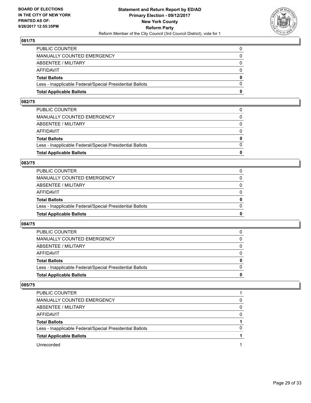

| <b>Total Applicable Ballots</b>                          | 0            |
|----------------------------------------------------------|--------------|
| Less - Inapplicable Federal/Special Presidential Ballots | $\Omega$     |
| <b>Total Ballots</b>                                     | $\mathbf{0}$ |
| <b>AFFIDAVIT</b>                                         | $\Omega$     |
| ABSENTEE / MILITARY                                      | $\mathbf{0}$ |
| <b>MANUALLY COUNTED EMERGENCY</b>                        | $\Omega$     |
| PUBLIC COUNTER                                           |              |

#### **082/75**

| <b>Total Applicable Ballots</b>                          | 0            |
|----------------------------------------------------------|--------------|
|                                                          |              |
| Less - Inapplicable Federal/Special Presidential Ballots | $\Omega$     |
| <b>Total Ballots</b>                                     | $\mathbf{0}$ |
| AFFIDAVIT                                                | $\Omega$     |
| ABSENTEE / MILITARY                                      | $\Omega$     |
| MANUALLY COUNTED EMERGENCY                               | 0            |
| PUBLIC COUNTER                                           |              |
|                                                          |              |

#### **083/75**

| <b>Total Applicable Ballots</b>                          | 0            |
|----------------------------------------------------------|--------------|
| Less - Inapplicable Federal/Special Presidential Ballots | $\Omega$     |
| <b>Total Ballots</b>                                     | $\mathbf{0}$ |
| <b>AFFIDAVIT</b>                                         | $\Omega$     |
| ABSENTEE / MILITARY                                      | $\Omega$     |
| MANUALLY COUNTED EMERGENCY                               |              |
| PUBLIC COUNTER                                           |              |

#### **084/75**

| <b>Total Applicable Ballots</b>                          | o        |
|----------------------------------------------------------|----------|
| Less - Inapplicable Federal/Special Presidential Ballots | $\Omega$ |
| <b>Total Ballots</b>                                     | 0        |
| <b>AFFIDAVIT</b>                                         |          |
| ABSENTEE / MILITARY                                      | $\Omega$ |
| MANUALLY COUNTED EMERGENCY                               | 0        |
| PUBLIC COUNTER                                           | 0        |

| PUBLIC COUNTER                                           |   |
|----------------------------------------------------------|---|
| <b>MANUALLY COUNTED EMERGENCY</b>                        | 0 |
| ABSENTEE / MILITARY                                      | 0 |
| AFFIDAVIT                                                | 0 |
| <b>Total Ballots</b>                                     |   |
| Less - Inapplicable Federal/Special Presidential Ballots | 0 |
| <b>Total Applicable Ballots</b>                          |   |
| Unrecorded                                               |   |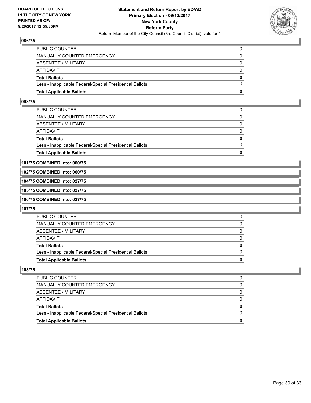

| <b>Total Applicable Ballots</b>                          | n        |
|----------------------------------------------------------|----------|
| Less - Inapplicable Federal/Special Presidential Ballots | $\Omega$ |
| <b>Total Ballots</b>                                     | $\bf{0}$ |
| <b>AFFIDAVIT</b>                                         | $\Omega$ |
| ABSENTEE / MILITARY                                      | 0        |
| <b>MANUALLY COUNTED EMERGENCY</b>                        | $\Omega$ |
| PUBLIC COUNTER                                           |          |

#### **093/75**

| <b>Total Applicable Ballots</b>                          | 0            |
|----------------------------------------------------------|--------------|
| Less - Inapplicable Federal/Special Presidential Ballots | $\Omega$     |
| <b>Total Ballots</b>                                     | $\mathbf{0}$ |
| AFFIDAVIT                                                | $\Omega$     |
| ABSENTEE / MILITARY                                      | $\Omega$     |
| MANUALLY COUNTED EMERGENCY                               | 0            |
| PUBLIC COUNTER                                           | 0            |
|                                                          |              |

**101/75 COMBINED into: 060/75**

#### **102/75 COMBINED into: 060/75**

**104/75 COMBINED into: 027/75**

# **105/75 COMBINED into: 027/75**

**106/75 COMBINED into: 027/75**

#### **107/75**

| <b>PUBLIC COUNTER</b>                                    |  |
|----------------------------------------------------------|--|
| MANUALLY COUNTED EMERGENCY                               |  |
| ABSENTEE / MILITARY                                      |  |
| AFFIDAVIT                                                |  |
| <b>Total Ballots</b>                                     |  |
| Less - Inapplicable Federal/Special Presidential Ballots |  |
| <b>Total Applicable Ballots</b>                          |  |

| PUBLIC COUNTER                                           |  |
|----------------------------------------------------------|--|
| <b>MANUALLY COUNTED EMERGENCY</b>                        |  |
| ABSENTEE / MILITARY                                      |  |
| <b>AFFIDAVIT</b>                                         |  |
| <b>Total Ballots</b>                                     |  |
| Less - Inapplicable Federal/Special Presidential Ballots |  |
| <b>Total Applicable Ballots</b>                          |  |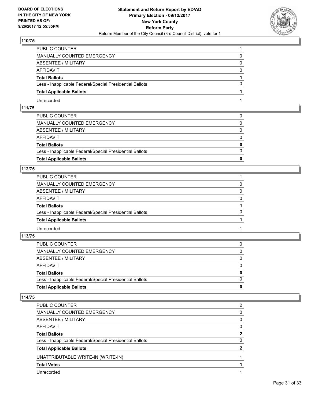

| PUBLIC COUNTER                                           |   |
|----------------------------------------------------------|---|
| MANUALLY COUNTED EMERGENCY                               | 0 |
| ABSENTEE / MILITARY                                      | 0 |
| AFFIDAVIT                                                | 0 |
| <b>Total Ballots</b>                                     |   |
| Less - Inapplicable Federal/Special Presidential Ballots | 0 |
| <b>Total Applicable Ballots</b>                          |   |
| Unrecorded                                               |   |

## **111/75**

| <b>Total Applicable Ballots</b>                          | 0            |
|----------------------------------------------------------|--------------|
| Less - Inapplicable Federal/Special Presidential Ballots | $\Omega$     |
| <b>Total Ballots</b>                                     | $\mathbf{0}$ |
| AFFIDAVIT                                                | $\Omega$     |
| ABSENTEE / MILITARY                                      | $\Omega$     |
| MANUALLY COUNTED EMERGENCY                               | $\Omega$     |
| PUBLIC COUNTER                                           |              |

## **112/75**

| PUBLIC COUNTER                                           |          |
|----------------------------------------------------------|----------|
| MANUALLY COUNTED EMERGENCY                               |          |
| ABSENTEE / MILITARY                                      | 0        |
| AFFIDAVIT                                                | $\Omega$ |
| <b>Total Ballots</b>                                     |          |
| Less - Inapplicable Federal/Special Presidential Ballots | $\Omega$ |
| <b>Total Applicable Ballots</b>                          |          |
| Unrecorded                                               |          |

## **113/75**

| MANUALLY COUNTED EMERGENCY                               | $\Omega$     |
|----------------------------------------------------------|--------------|
| ABSENTEE / MILITARY                                      | $\mathbf{0}$ |
|                                                          |              |
| AFFIDAVIT                                                | $\Omega$     |
| <b>Total Ballots</b>                                     | $\mathbf{0}$ |
| Less - Inapplicable Federal/Special Presidential Ballots | $\Omega$     |
| <b>Total Applicable Ballots</b>                          | 0            |
|                                                          |              |

| PUBLIC COUNTER                                           | 2 |
|----------------------------------------------------------|---|
| <b>MANUALLY COUNTED EMERGENCY</b>                        | 0 |
| <b>ABSENTEE / MILITARY</b>                               | 0 |
| AFFIDAVIT                                                | 0 |
| <b>Total Ballots</b>                                     | 2 |
| Less - Inapplicable Federal/Special Presidential Ballots | 0 |
| <b>Total Applicable Ballots</b>                          |   |
| UNATTRIBUTABLE WRITE-IN (WRITE-IN)                       |   |
| <b>Total Votes</b>                                       |   |
| Unrecorded                                               |   |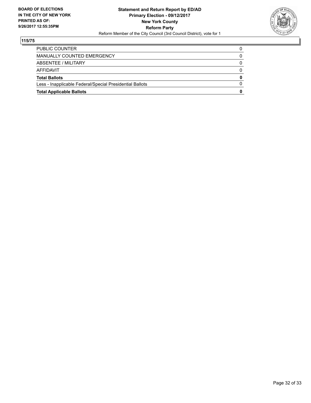

| <b>Total Applicable Ballots</b>                          | 0 |
|----------------------------------------------------------|---|
| Less - Inapplicable Federal/Special Presidential Ballots | 0 |
| <b>Total Ballots</b>                                     | 0 |
| AFFIDAVIT                                                | 0 |
| ABSENTEE / MILITARY                                      | 0 |
| MANUALLY COUNTED EMERGENCY                               | 0 |
| PUBLIC COUNTER                                           | 0 |